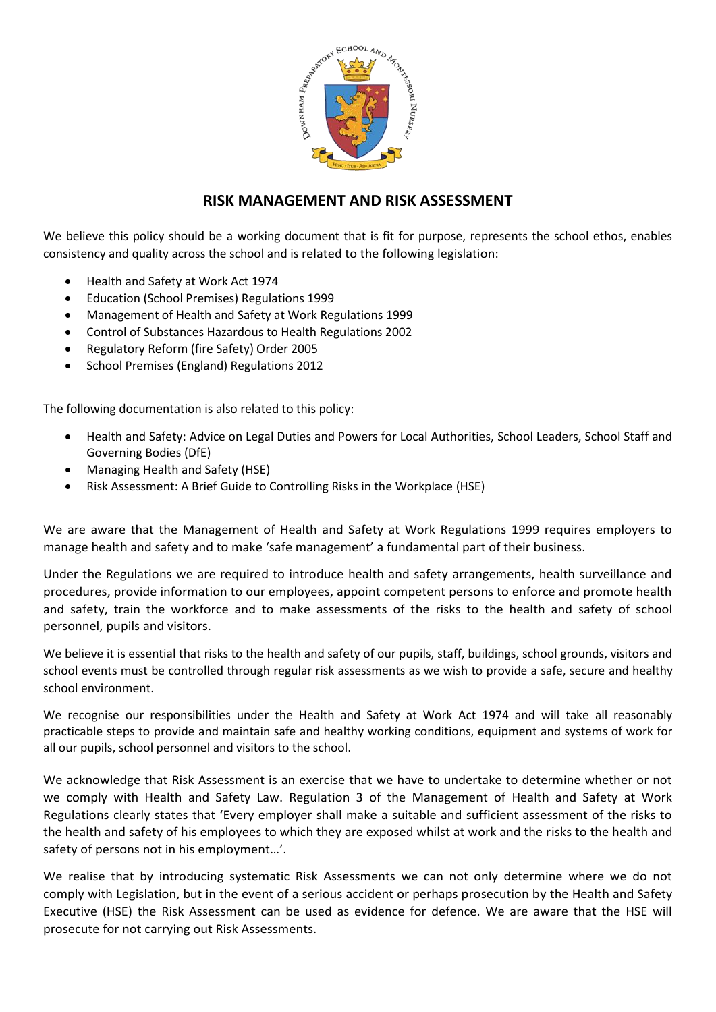

# **RISK MANAGEMENT AND RISK ASSESSMENT**

We believe this policy should be a working document that is fit for purpose, represents the school ethos, enables consistency and quality across the school and is related to the following legislation:

- Health and Safety at Work Act 1974
- Education (School Premises) Regulations 1999
- Management of Health and Safety at Work Regulations 1999
- Control of Substances Hazardous to Health Regulations 2002
- Regulatory Reform (fire Safety) Order 2005
- School Premises (England) Regulations 2012

The following documentation is also related to this policy:

- Health and Safety: Advice on Legal Duties and Powers for Local Authorities, School Leaders, School Staff and Governing Bodies (DfE)
- Managing Health and Safety (HSE)
- Risk Assessment: A Brief Guide to Controlling Risks in the Workplace (HSE)

We are aware that the Management of Health and Safety at Work Regulations 1999 requires employers to manage health and safety and to make 'safe management' a fundamental part of their business.

Under the Regulations we are required to introduce health and safety arrangements, health surveillance and procedures, provide information to our employees, appoint competent persons to enforce and promote health and safety, train the workforce and to make assessments of the risks to the health and safety of school personnel, pupils and visitors.

We believe it is essential that risks to the health and safety of our pupils, staff, buildings, school grounds, visitors and school events must be controlled through regular risk assessments as we wish to provide a safe, secure and healthy school environment.

We recognise our responsibilities under the Health and Safety at Work Act 1974 and will take all reasonably practicable steps to provide and maintain safe and healthy working conditions, equipment and systems of work for all our pupils, school personnel and visitors to the school.

We acknowledge that Risk Assessment is an exercise that we have to undertake to determine whether or not we comply with Health and Safety Law. Regulation 3 of the Management of Health and Safety at Work Regulations clearly states that 'Every employer shall make a suitable and sufficient assessment of the risks to the health and safety of his employees to which they are exposed whilst at work and the risks to the health and safety of persons not in his employment…'.

We realise that by introducing systematic Risk Assessments we can not only determine where we do not comply with Legislation, but in the event of a serious accident or perhaps prosecution by the Health and Safety Executive (HSE) the Risk Assessment can be used as evidence for defence. We are aware that the HSE will prosecute for not carrying out Risk Assessments.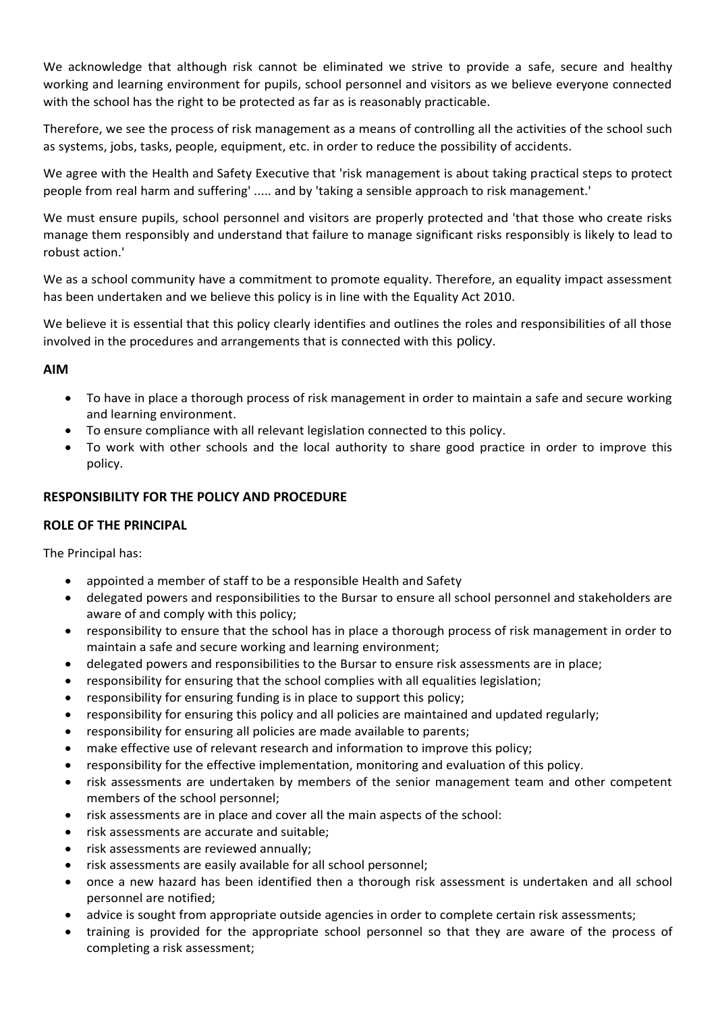We acknowledge that although risk cannot be eliminated we strive to provide a safe, secure and healthy working and learning environment for pupils, school personnel and visitors as we believe everyone connected with the school has the right to be protected as far as is reasonably practicable.

Therefore, we see the process of risk management as a means of controlling all the activities of the school such as systems, jobs, tasks, people, equipment, etc. in order to reduce the possibility of accidents.

We agree with the Health and Safety Executive that 'risk management is about taking practical steps to protect people from real harm and suffering' ..... and by 'taking a sensible approach to risk management.'

We must ensure pupils, school personnel and visitors are properly protected and 'that those who create risks manage them responsibly and understand that failure to manage significant risks responsibly is likely to lead to robust action.'

We as a school community have a commitment to promote equality. Therefore, an equality impact assessment has been undertaken and we believe this policy is in line with the Equality Act 2010.

We believe it is essential that this policy clearly identifies and outlines the roles and responsibilities of all those involved in the procedures and arrangements that is connected with this policy.

# **AIM**

- To have in place a thorough process of risk management in order to maintain a safe and secure working and learning environment.
- To ensure compliance with all relevant legislation connected to this policy.
- To work with other schools and the local authority to share good practice in order to improve this policy.

# **RESPONSIBILITY FOR THE POLICY AND PROCEDURE**

# **ROLE OF THE PRINCIPAL**

The Principal has:

- appointed a member of staff to be a responsible Health and Safety
- delegated powers and responsibilities to the Bursar to ensure all school personnel and stakeholders are aware of and comply with this policy;
- responsibility to ensure that the school has in place a thorough process of risk management in order to maintain a safe and secure working and learning environment;
- delegated powers and responsibilities to the Bursar to ensure risk assessments are in place;
- responsibility for ensuring that the school complies with all equalities legislation;
- responsibility for ensuring funding is in place to support this policy;
- responsibility for ensuring this policy and all policies are maintained and updated regularly;
- responsibility for ensuring all policies are made available to parents;
- make effective use of relevant research and information to improve this policy;
- responsibility for the effective implementation, monitoring and evaluation of this policy.
- risk assessments are undertaken by members of the senior management team and other competent members of the school personnel;
- risk assessments are in place and cover all the main aspects of the school:
- risk assessments are accurate and suitable;
- risk assessments are reviewed annually;
- risk assessments are easily available for all school personnel;
- once a new hazard has been identified then a thorough risk assessment is undertaken and all school personnel are notified;
- advice is sought from appropriate outside agencies in order to complete certain risk assessments;
- training is provided for the appropriate school personnel so that they are aware of the process of completing a risk assessment;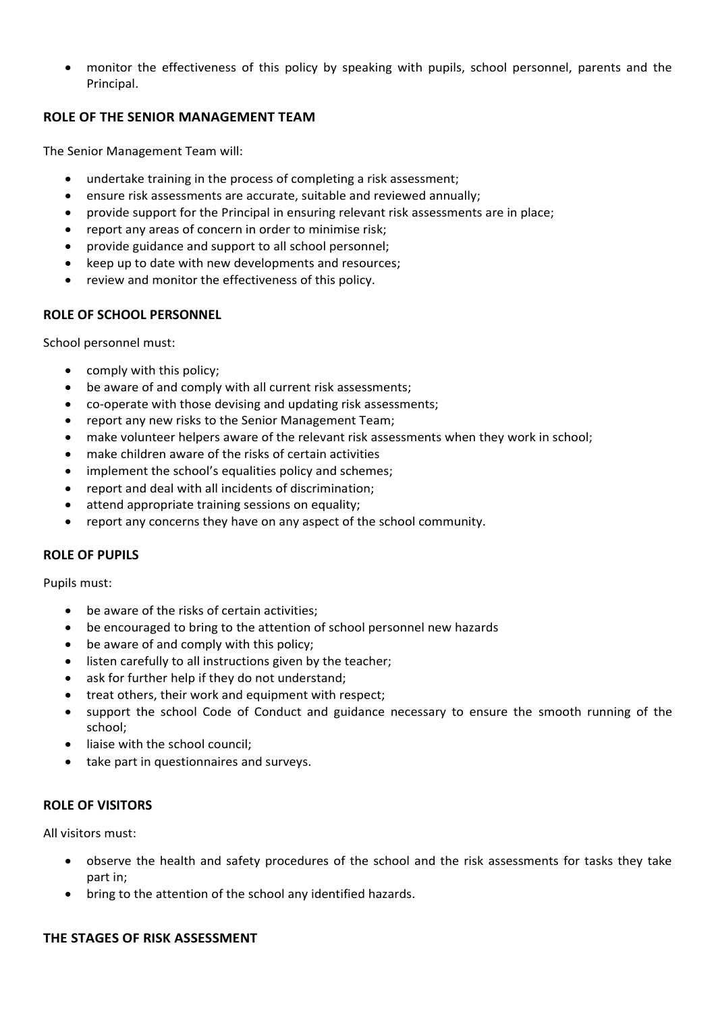• monitor the effectiveness of this policy by speaking with pupils, school personnel, parents and the Principal.

# **ROLE OF THE SENIOR MANAGEMENT TEAM**

The Senior Management Team will:

- undertake training in the process of completing a risk assessment;
- ensure risk assessments are accurate, suitable and reviewed annually;
- provide support for the Principal in ensuring relevant risk assessments are in place;
- report any areas of concern in order to minimise risk;
- provide guidance and support to all school personnel;
- keep up to date with new developments and resources;
- review and monitor the effectiveness of this policy.

# **ROLE OF SCHOOL PERSONNEL**

School personnel must:

- comply with this policy;
- be aware of and comply with all current risk assessments;
- co-operate with those devising and updating risk assessments;
- report any new risks to the Senior Management Team;
- make volunteer helpers aware of the relevant risk assessments when they work in school;
- make children aware of the risks of certain activities
- implement the school's equalities policy and schemes;
- report and deal with all incidents of discrimination;
- attend appropriate training sessions on equality;
- report any concerns they have on any aspect of the school community.

# **ROLE OF PUPILS**

Pupils must:

- be aware of the risks of certain activities:
- be encouraged to bring to the attention of school personnel new hazards
- be aware of and comply with this policy;
- listen carefully to all instructions given by the teacher;
- ask for further help if they do not understand;
- treat others, their work and equipment with respect;
- support the school Code of Conduct and guidance necessary to ensure the smooth running of the school;
- liaise with the school council;
- take part in questionnaires and surveys.

# **ROLE OF VISITORS**

All visitors must:

- observe the health and safety procedures of the school and the risk assessments for tasks they take part in;
- bring to the attention of the school any identified hazards.

# **THE STAGES OF RISK ASSESSMENT**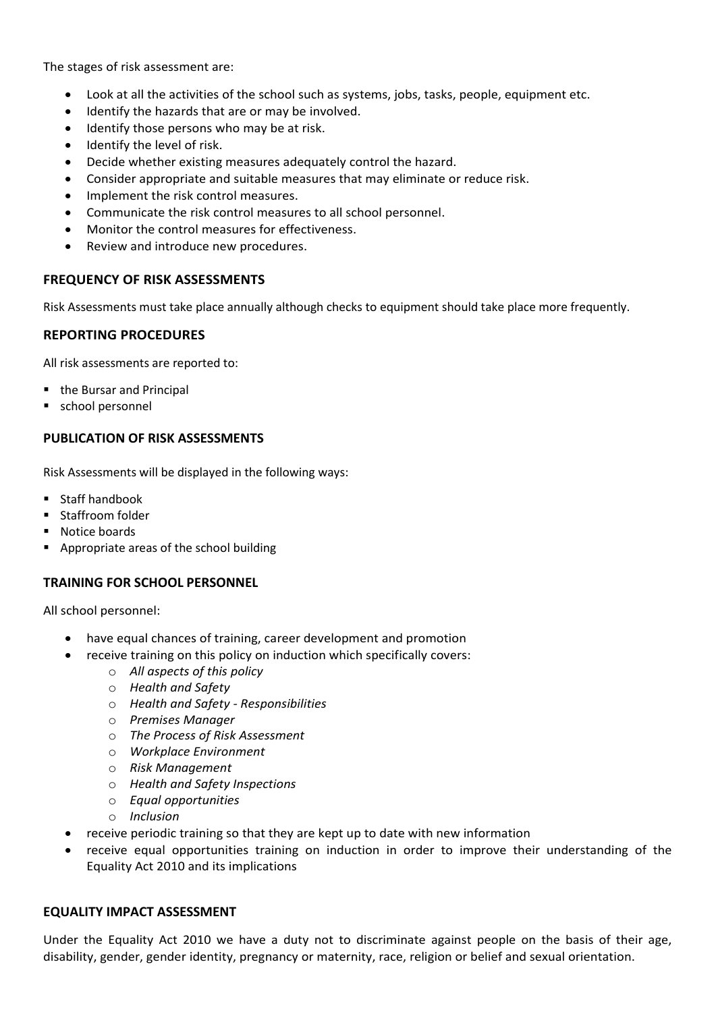The stages of risk assessment are:

- Look at all the activities of the school such as systems, jobs, tasks, people, equipment etc.
- Identify the hazards that are or may be involved.
- Identify those persons who may be at risk.
- Identify the level of risk.
- Decide whether existing measures adequately control the hazard.
- Consider appropriate and suitable measures that may eliminate or reduce risk.
- Implement the risk control measures.
- Communicate the risk control measures to all school personnel.
- Monitor the control measures for effectiveness.
- Review and introduce new procedures.

#### **FREQUENCY OF RISK ASSESSMENTS**

Risk Assessments must take place annually although checks to equipment should take place more frequently.

#### **REPORTING PROCEDURES**

All risk assessments are reported to:

- the Bursar and Principal
- school personnel

#### **PUBLICATION OF RISK ASSESSMENTS**

Risk Assessments will be displayed in the following ways:

- Staff handbook
- Staffroom folder
- Notice boards
- Appropriate areas of the school building

# **TRAINING FOR SCHOOL PERSONNEL**

All school personnel:

- have equal chances of training, career development and promotion
- receive training on this policy on induction which specifically covers:
	- o *All aspects of this policy*
	- o *Health and Safety*
	- o *Health and Safety - Responsibilities*
	- o *Premises Manager*
	- o *The Process of Risk Assessment*
	- o *Workplace Environment*
	- o *Risk Management*
	- o *Health and Safety Inspections*
	- o *Equal opportunities*
	- o *Inclusion*
- receive periodic training so that they are kept up to date with new information
- receive equal opportunities training on induction in order to improve their understanding of the Equality Act 2010 and its implications

#### **EQUALITY IMPACT ASSESSMENT**

Under the Equality Act 2010 we have a duty not to discriminate against people on the basis of their age, disability, gender, gender identity, pregnancy or maternity, race, religion or belief and sexual orientation.